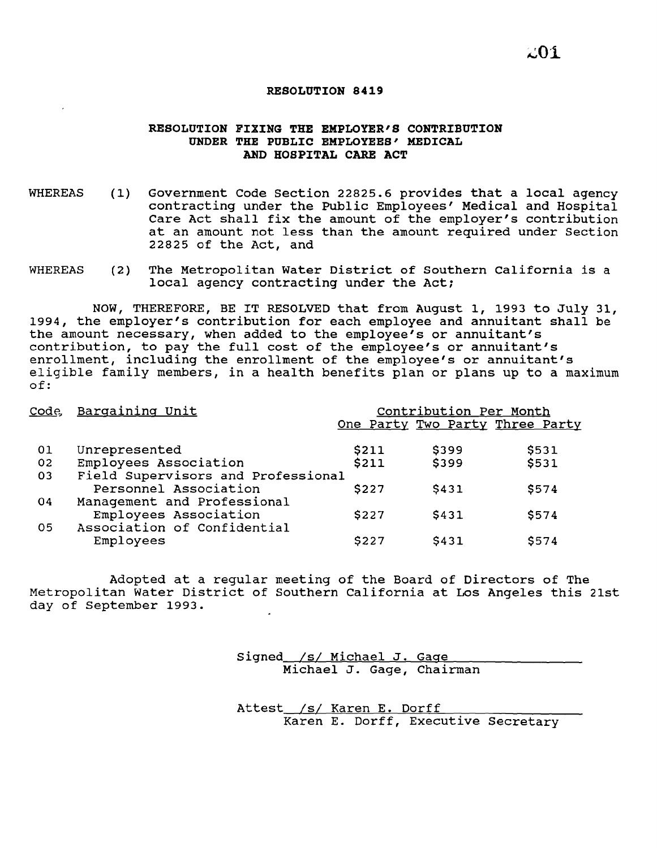## **RESOLUTION 8419**

## **RESOLUTION FIXING THE EMPLOYER'S CONTRIBUTION UNDER THE PUBLIC EMPLOYEES' MEDICAL AND HOSPITAL CARE ACT**

- WHEREAS (1) Government Code section 22825.6 provides that <sup>a</sup> local agency contracting under the Public Employees' Medical and Hospital Care Act shall fix the amount of the employer's contribution at an amount not less than the amount required under Section 22825 of the Act, and
- WHEREAS (2) The Metropolitan Water District of Southern California is <sup>a</sup> local agency contracting under the Act;

NOW, THEREFORE, BE IT RESOLVED that from August 1, 1993 to July 31, 1994, the employer's contribution for each employee and annuitant shall be the amount necessary, when added to the employee's or annuitant's contribution, to pay the full cost of the employee's or annuitant's enrollment, including the enrollment of the employee's or annuitant's eligible family members, in <sup>a</sup> health benefits plan or plans up to <sup>a</sup> maximum of:

|     | Code, Bargaining Unit              |       | Contribution Per Month | One Party Two Party Three Party |
|-----|------------------------------------|-------|------------------------|---------------------------------|
| -01 | Unrepresented                      | \$211 | \$399                  | \$531                           |
| 02  | Employees Association              | \$211 | \$399                  | \$531                           |
| 03  | Field Supervisors and Professional |       |                        |                                 |
|     | Personnel Association              | \$227 | \$431                  | \$574                           |
| 04  | Management and Professional        |       |                        |                                 |
|     | Employees Association              | \$227 | \$431                  | \$574                           |
| 05  | Association of Confidential        |       |                        |                                 |
|     | Employees                          | \$227 | \$431                  | \$574                           |

Adopted at <sup>a</sup> regular meeting of the Board of Directors of The Metropolitan Water District of Southern California at Los Angeles this 21st day of September 1993.

> signed /s/ Michael J. Gage Michael J. Gage, Chairman

Attest\_/s/ Karen E. Dorff Karen E. Dorff, Executive Secretary